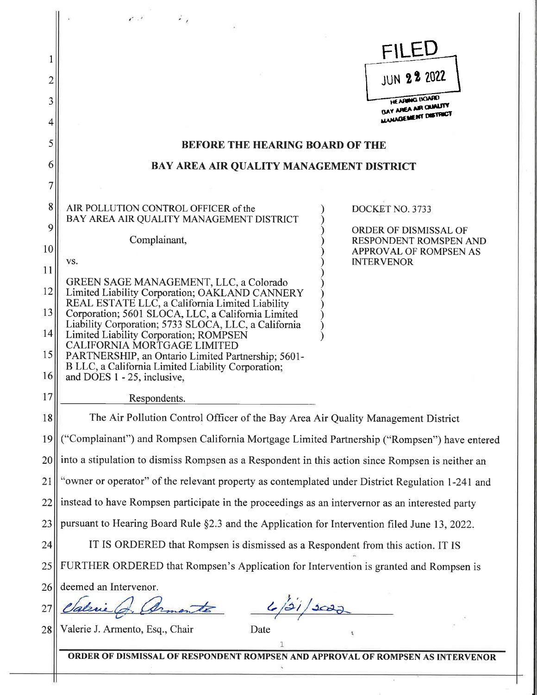|        | 25<br>$\mathbf{r}$                                                                                      |  |
|--------|---------------------------------------------------------------------------------------------------------|--|
|        | FILEU                                                                                                   |  |
|        | <b>JUN 22 2022</b>                                                                                      |  |
| 3<br>4 | <b>HE ARMIG UOARD</b><br>BAY AREA AIR QUALITY<br>ANAGEMENT DISTRICT                                     |  |
| 5      | <b>BEFORE THE HEARING BOARD OF THE</b>                                                                  |  |
| 6      | BAY AREA AIR QUALITY MANAGEMENT DISTRICT                                                                |  |
| 7      |                                                                                                         |  |
| 8<br>9 | AIR POLLUTION CONTROL OFFICER of the<br>DOCKET NO. 3733<br>BAY AREA AIR QUALITY MANAGEMENT DISTRICT     |  |
| 10     | <b>ORDER OF DISMISSAL OF</b><br>Complainant,<br>RESPONDENT ROMSPEN AND<br><b>APPROVAL OF ROMPSEN AS</b> |  |
| 11     | VS.<br><b>INTERVENOR</b>                                                                                |  |
| 12     | GREEN SAGE MANAGEMENT, LLC, a Colorado<br>Limited Liability Corporation; OAKLAND CANNERY                |  |
| 13     | REAL ESTATE LLC, a California Limited Liability<br>Corporation; 5601 SLOCA, LLC, a California Limited   |  |
| 14     | Liability Corporation; 5733 SLOCA, LLC, a California<br>Limited Liability Corporation; ROMPSEN          |  |
| 15     | CALIFORNIA MORTGAGE LIMITED<br>PARTNERSHIP, an Ontario Limited Partnership; 5601-                       |  |
| 16     | B LLC, a California Limited Liability Corporation;<br>and DOES 1 - 25, inclusive,                       |  |
| 17     | Respondents.                                                                                            |  |
| 18     | The Air Pollution Control Officer of the Bay Area Air Quality Management District                       |  |
| 19     | ("Complainant") and Rompsen California Mortgage Limited Partnership ("Rompsen") have entered            |  |
| 20     | into a stipulation to dismiss Rompsen as a Respondent in this action since Rompsen is neither an        |  |
| 21     | "owner or operator" of the relevant property as contemplated under District Regulation 1-241 and        |  |
| 22     | instead to have Rompsen participate in the proceedings as an intervernor as an interested party         |  |
| 23     | pursuant to Hearing Board Rule §2.3 and the Application for Intervention filed June 13, 2022.           |  |
| 24     | IT IS ORDERED that Rompsen is dismissed as a Respondent from this action. IT IS                         |  |
| 25     | FURTHER ORDERED that Rompsen's Application for Intervention is granted and Rompsen is                   |  |
| 26     | deemed an Intervenor.                                                                                   |  |
| 27     |                                                                                                         |  |
| 28     | Valerie J. Armento, Esq., Chair<br>Date                                                                 |  |
|        | ORDER OF DISMISSAL OF RESPONDENT ROMPSEN AND APPROVAL OF ROMPSEN AS INTERVENOR                          |  |

ò.

₩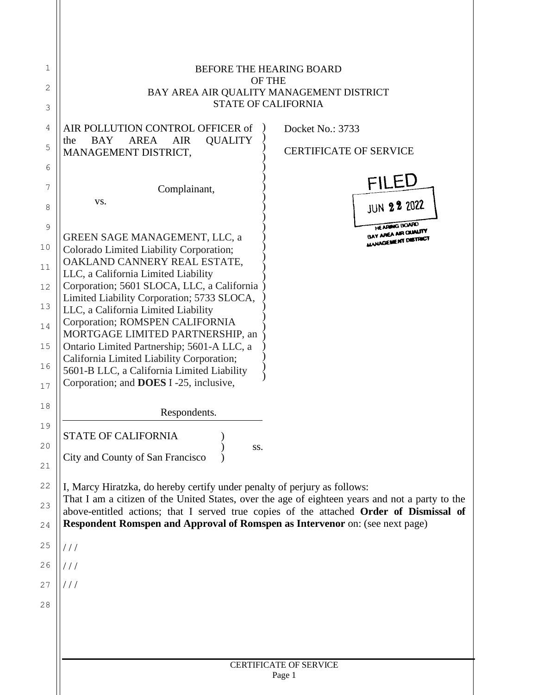| 1  | <b>BEFORE THE HEARING BOARD</b>                                                                                                                                         |
|----|-------------------------------------------------------------------------------------------------------------------------------------------------------------------------|
| 2  | <b>OF THE</b><br>BAY AREA AIR QUALITY MANAGEMENT DISTRICT                                                                                                               |
| 3  | <b>STATE OF CALIFORNIA</b>                                                                                                                                              |
| 4  | Docket No.: 3733<br>AIR POLLUTION CONTROL OFFICER of                                                                                                                    |
| 5  | <b>AREA</b><br><b>QUALITY</b><br><b>BAY</b><br><b>AIR</b><br>the                                                                                                        |
| 6  | <b>CERTIFICATE OF SERVICE</b><br>MANAGEMENT DISTRICT,                                                                                                                   |
| 7  | <b>FILEU</b>                                                                                                                                                            |
|    | Complainant,<br>VS.<br><b>JUN 22 2022</b>                                                                                                                               |
| 8  | HE ARMIG LIOARD                                                                                                                                                         |
| 9  | BAY AREA AIR QUALITY<br>GREEN SAGE MANAGEMENT, LLC, a<br>ANAGEMENT DISTRICT                                                                                             |
| 10 | Colorado Limited Liability Corporation;<br>OAKLAND CANNERY REAL ESTATE,                                                                                                 |
| 11 | LLC, a California Limited Liability                                                                                                                                     |
| 12 | Corporation; 5601 SLOCA, LLC, a California<br>Limited Liability Corporation; 5733 SLOCA,                                                                                |
| 13 | LLC, a California Limited Liability                                                                                                                                     |
| 14 | Corporation; ROMSPEN CALIFORNIA<br>MORTGAGE LIMITED PARTNERSHIP, an                                                                                                     |
| 15 | Ontario Limited Partnership; 5601-A LLC, a                                                                                                                              |
| 16 | California Limited Liability Corporation;<br>5601-B LLC, a California Limited Liability                                                                                 |
| 17 | Corporation; and DOES I-25, inclusive,                                                                                                                                  |
| 18 | Respondents.                                                                                                                                                            |
| 19 |                                                                                                                                                                         |
| 20 | <b>STATE OF CALIFORNIA</b><br>SS.                                                                                                                                       |
| 21 | City and County of San Francisco                                                                                                                                        |
| 22 | I, Marcy Hiratzka, do hereby certify under penalty of perjury as follows:                                                                                               |
| 23 | That I am a citizen of the United States, over the age of eighteen years and not a party to the                                                                         |
| 24 | above-entitled actions; that I served true copies of the attached Order of Dismissal of<br>Respondent Romspen and Approval of Romspen as Intervenor on: (see next page) |
| 25 | ///                                                                                                                                                                     |
| 26 |                                                                                                                                                                         |
| 27 | ///                                                                                                                                                                     |
| 28 |                                                                                                                                                                         |
|    |                                                                                                                                                                         |
|    |                                                                                                                                                                         |
|    |                                                                                                                                                                         |
|    | <b>CERTIFICATE OF SERVICE</b><br>Page 1                                                                                                                                 |
|    |                                                                                                                                                                         |